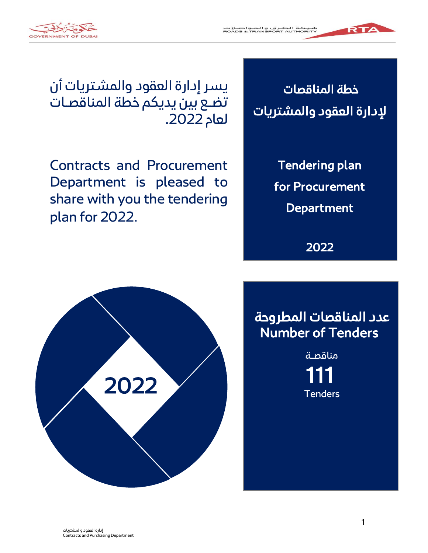



يسر إدارة العقود والمشتريات أن تضع بين يديكم خطة المناقصات لعام .2022

Contracts and Procurement Department is pleased to share with you the tendering plan for 2022.



RTA

Tendering plan for Procurement **Department** 

2022



111 **Tenders** مناقصـة

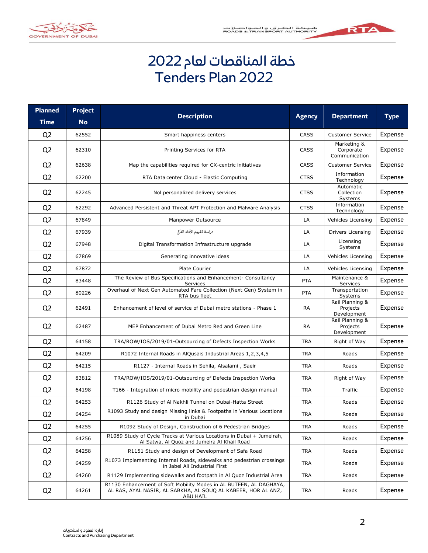



## خطة المناقصات لعام 2022 Tenders Plan 2022

| <b>Planned</b> | <b>Project</b> | <b>Description</b>                                                                                                                              |               |                                            |             |
|----------------|----------------|-------------------------------------------------------------------------------------------------------------------------------------------------|---------------|--------------------------------------------|-------------|
| <b>Time</b>    | <b>No</b>      |                                                                                                                                                 | <b>Agency</b> | <b>Department</b>                          | <b>Type</b> |
| Q <sub>2</sub> | 62552          | Smart happiness centers                                                                                                                         | CASS          | <b>Customer Service</b>                    | Expense     |
| Q <sub>2</sub> | 62310          | Printing Services for RTA                                                                                                                       | <b>CASS</b>   | Marketing &<br>Corporate<br>Communication  | Expense     |
| Q <sub>2</sub> | 62638          | Map the capabilities required for CX-centric initiatives                                                                                        | CASS          | <b>Customer Service</b>                    | Expense     |
| Q <sub>2</sub> | 62200          | RTA Data center Cloud - Elastic Computing                                                                                                       | <b>CTSS</b>   | Information<br>Technology                  | Expense     |
| Q <sub>2</sub> | 62245          | Nol personalized delivery services                                                                                                              | <b>CTSS</b>   | Automatic<br>Collection<br>Systems         | Expense     |
| Q <sub>2</sub> | 62292          | Advanced Persistent and Threat APT Protection and Malware Analysis                                                                              | <b>CTSS</b>   | Information<br>Technology                  | Expense     |
| Q <sub>2</sub> | 67849          | Manpower Outsource                                                                                                                              | LA            | Vehicles Licensing                         | Expense     |
| Q <sub>2</sub> | 67939          | دراسة تقييم الأداء الذكى                                                                                                                        | LA            | Drivers Licensing                          | Expense     |
| Q <sub>2</sub> | 67948          | Digital Transformation Infrastructure upgrade                                                                                                   | LA            | Licensing<br>Systems                       | Expense     |
| Q <sub>2</sub> | 67869          | Generating innovative ideas                                                                                                                     | LA            | Vehicles Licensing                         | Expense     |
| Q <sub>2</sub> | 67872          | <b>Plate Courier</b>                                                                                                                            | LA            | Vehicles Licensing                         | Expense     |
| Q <sub>2</sub> | 83448          | The Review of Bus Specifications and Enhancement- Consultancy<br>Services                                                                       | <b>PTA</b>    | Maintenance &<br>Services                  | Expense     |
| Q <sub>2</sub> | 80226          | Overhaul of Next Gen Automated Fare Collection (Next Gen) System in<br>RTA bus fleet                                                            | <b>PTA</b>    | Transportation<br>Systems                  | Expense     |
| Q <sub>2</sub> | 62491          | Enhancement of level of service of Dubai metro stations - Phase 1                                                                               | <b>RA</b>     | Rail Planning &<br>Projects<br>Development | Expense     |
| Q <sub>2</sub> | 62487          | MEP Enhancement of Dubai Metro Red and Green Line                                                                                               | <b>RA</b>     | Rail Planning &<br>Projects<br>Development | Expense     |
| Q <sub>2</sub> | 64158          | TRA/ROW/IOS/2019/01-Outsourcing of Defects Inspection Works                                                                                     | <b>TRA</b>    | Right of Way                               | Expense     |
| Q <sub>2</sub> | 64209          | R1072 Internal Roads in AlQusais Industrial Areas 1,2,3,4,5                                                                                     | <b>TRA</b>    | Roads                                      | Expense     |
| Q <sub>2</sub> | 64215          | R1127 - Internal Roads in Sehila, Alsalami, Saeir                                                                                               | TRA           | Roads                                      | Expense     |
| Q <sub>2</sub> | 83812          | TRA/ROW/IOS/2019/01-Outsourcing of Defects Inspection Works                                                                                     | <b>TRA</b>    | Right of Way                               | Expense     |
| Q <sub>2</sub> | 64198          | T166 - Integration of micro mobility and pedestrian design manual                                                                               | <b>TRA</b>    | Traffic                                    | Expense     |
| Q <sub>2</sub> | 64253          | R1126 Study of Al Nakhli Tunnel on Dubai-Hatta Street                                                                                           | <b>TRA</b>    | Roads                                      | Expense     |
| Q <sub>2</sub> | 64254          | R1093 Study and design Missing links & Footpaths in Various Locations<br><u>in Dubai</u>                                                        | <b>TRA</b>    | Roads                                      | Expense     |
| Q <sub>2</sub> | 64255          | R1092 Study of Design, Construction of 6 Pedestrian Bridges                                                                                     | <b>TRA</b>    | Roads                                      | Expense     |
| Q <sub>2</sub> | 64256          | R1089 Study of Cycle Tracks at Various Locations in Dubai + Jumeirah,<br>Al Satwa, Al Quoz and Jumeira Al Khail Road                            | TRA           | Roads                                      | Expense     |
| Q <sub>2</sub> | 64258          | R1151 Study and design of Development of Safa Road                                                                                              | TRA           | Roads                                      | Expense     |
| Q <sub>2</sub> | 64259          | R1073 Implementing Internal Roads, sidewalks and pedestrian crossings<br>in Jabel Ali Industrial First                                          | <b>TRA</b>    | Roads                                      | Expense     |
| Q <sub>2</sub> | 64260          | R1129 Implementing sidewalks and footpath in Al Quoz Industrial Area                                                                            | <b>TRA</b>    | Roads                                      | Expense     |
| Q <sub>2</sub> | 64261          | R1130 Enhancement of Soft Mobility Modes in AL BUTEEN, AL DAGHAYA,<br>AL RAS, AYAL NASIR, AL SABKHA, AL SOUQ AL KABEER, HOR AL ANZ,<br>ABU HAIL | TRA           | Roads                                      | Expense     |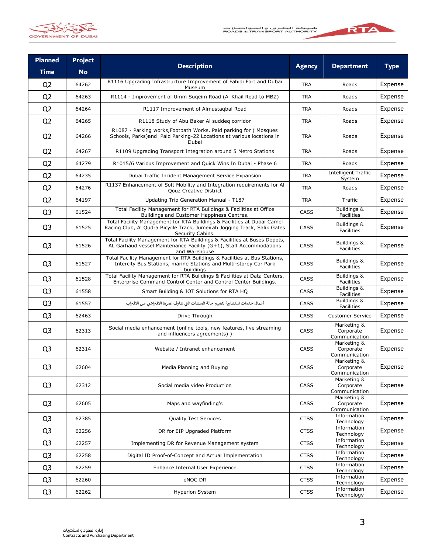

- 1

RTA



| <b>Planned</b> | <b>Project</b> | <b>Description</b>                                                                                                                                                      |               |                                           |             |
|----------------|----------------|-------------------------------------------------------------------------------------------------------------------------------------------------------------------------|---------------|-------------------------------------------|-------------|
| <b>Time</b>    | <b>No</b>      |                                                                                                                                                                         | <b>Agency</b> | <b>Department</b>                         | <b>Type</b> |
| Q <sub>2</sub> | 64262          | R1116 Upgrading Infrastructure Improvement of Fahidi Fort and Dubai<br>Museum                                                                                           | <b>TRA</b>    | Roads                                     | Expense     |
| Q <sub>2</sub> | 64263          | R1114 - Improvement of Umm Sugeim Road (Al Khail Road to MBZ)                                                                                                           | <b>TRA</b>    | Roads                                     | Expense     |
| Q <sub>2</sub> | 64264          | R1117 Improvement of Almustagbal Road                                                                                                                                   | <b>TRA</b>    | Roads                                     | Expense     |
| Q <sub>2</sub> | 64265          | R1118 Study of Abu Baker Al suddeg corridor                                                                                                                             | <b>TRA</b>    | Roads                                     | Expense     |
| Q <sub>2</sub> | 64266          | R1087 - Parking works, Footpath Works, Paid parking for (Mosques<br>Schools, Parks) and Paid Parking-22 Locations at various locations in<br>Dubai                      | <b>TRA</b>    | Roads                                     | Expense     |
| Q <sub>2</sub> | 64267          | R1109 Upgrading Transport Integration around 5 Metro Stations                                                                                                           | <b>TRA</b>    | Roads                                     | Expense     |
| Q <sub>2</sub> | 64279          | R1015/6 Various Improvement and Quick Wins In Dubai - Phase 6                                                                                                           | <b>TRA</b>    | Roads                                     | Expense     |
| Q <sub>2</sub> | 64235          | Dubai Traffic Incident Management Service Expansion                                                                                                                     | <b>TRA</b>    | <b>Intelligent Traffic</b><br>System      | Expense     |
| Q <sub>2</sub> | 64276          | R1137 Enhancement of Soft Mobility and Integration requirements for Al<br><b>Qouz Creative District</b>                                                                 | <b>TRA</b>    | Roads                                     | Expense     |
| Q <sub>2</sub> | 64197          | Updating Trip Generation Manual - T187                                                                                                                                  | <b>TRA</b>    | Traffic                                   | Expense     |
| Q <sub>3</sub> | 61524          | Total Facility Management for RTA Buildings & Facilities at Office<br>Buildings and Customer Happiness Centres.                                                         | <b>CASS</b>   | Buildings &<br>Facilities                 | Expense     |
| Q <sub>3</sub> | 61525          | Total Facility Management for RTA Buildings & Facilities at Dubai Camel<br>Racing Club, Al Qudra Bicycle Track, Jumeirah Jogging Track, Salik Gates<br>Security Cabins. | CASS          | Buildings &<br>Facilities                 | Expense     |
| Q <sub>3</sub> | 61526          | Total Facility Management for RTA Buildings & Facilities at Buses Depots,<br>AL Garhaud vessel Maintenance Facility (G+1), Staff Accommodations<br>and Warehouse        | <b>CASS</b>   | Buildings &<br>Facilities                 | Expense     |
| Q <sub>3</sub> | 61527          | Total Facility Management for RTA Buildings & Facilities at Bus Stations,<br>Intercity Bus Stations, marine Stations and Multi-storey Car Park<br>buildings             | CASS          | Buildings &<br>Facilities                 | Expense     |
| Q <sub>3</sub> | 61528          | Total Facility Management for RTA Buildings & Facilities at Data Centers,<br>Enterprise Command Control Center and Control Center Buildings.                            | <b>CASS</b>   | Buildings &<br>Facilities                 | Expense     |
| Q <sub>3</sub> | 61558          | Smart Building & IOT Solutions for RTA HQ                                                                                                                               | CASS          | Buildings &<br>Facilities                 | Expense     |
| Q <sub>3</sub> | 61557          | أعمال خدمات استشارية لتقييم حالة المنشآت التي شارف عمرها الافتراضي على الاقتراب                                                                                         | <b>CASS</b>   | Buildings &<br>Facilities                 | Expense     |
| Q <sub>3</sub> | 62463          | Drive Through                                                                                                                                                           | CASS          | <b>Customer Service</b>                   | Expense     |
| Q <sub>3</sub> | 62313          | Social media enhancement (online tools, new features, live streaming<br>and influencers agreements))                                                                    | <b>CASS</b>   | Marketing &<br>Corporate<br>Communication | Expense     |
| Q <sub>3</sub> | 62314          | Website / Intranet enhancement                                                                                                                                          | CASS          | Marketing &<br>Corporate<br>Communication | Expense     |
| Q <sub>3</sub> | 62604          | Media Planning and Buying                                                                                                                                               | <b>CASS</b>   | Marketing &<br>Corporate<br>Communication | Expense     |
| Q <sub>3</sub> | 62312          | Social media video Production                                                                                                                                           | CASS          | Marketing &<br>Corporate<br>Communication | Expense     |
| Q <sub>3</sub> | 62605          | Maps and wayfinding's                                                                                                                                                   | CASS          | Marketing &<br>Corporate<br>Communication | Expense     |
| Q <sub>3</sub> | 62385          | <b>Quality Test Services</b>                                                                                                                                            | <b>CTSS</b>   | Information<br>Technology                 | Expense     |
| Q <sub>3</sub> | 62256          | DR for EIP Upgraded Platform                                                                                                                                            | <b>CTSS</b>   | Information<br>Technology                 | Expense     |
| Q <sub>3</sub> | 62257          | Implementing DR for Revenue Management system                                                                                                                           | <b>CTSS</b>   | Information<br>Technology                 | Expense     |
| Q3             | 62258          | Digital ID Proof-of-Concept and Actual Implementation                                                                                                                   | <b>CTSS</b>   | Information<br>Technology                 | Expense     |
| Q <sub>3</sub> | 62259          | Enhance Internal User Experience                                                                                                                                        | <b>CTSS</b>   | Information<br>Technology                 | Expense     |
| Q <sub>3</sub> | 62260          | eNOC DR                                                                                                                                                                 | <b>CTSS</b>   | Information<br>Technology                 | Expense     |
| Q <sub>3</sub> | 62262          | <b>Hyperion System</b>                                                                                                                                                  | <b>CTSS</b>   | Information<br>Technology                 | Expense     |
|                |                |                                                                                                                                                                         |               |                                           |             |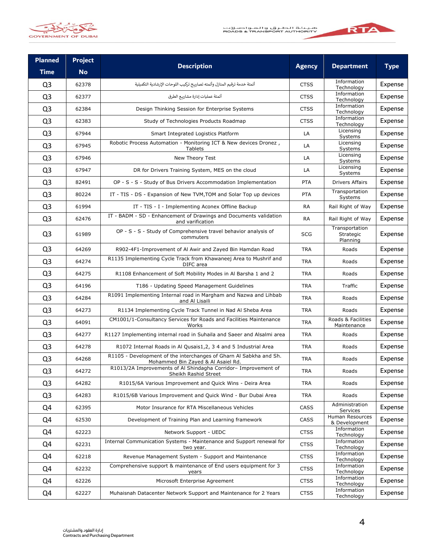

a a

RTA



| <b>Planned</b> | <b>Project</b> | <b>Description</b>                                                                                       | <b>Agency</b> | <b>Department</b>                       | <b>Type</b> |
|----------------|----------------|----------------------------------------------------------------------------------------------------------|---------------|-----------------------------------------|-------------|
| <b>Time</b>    | <b>No</b>      |                                                                                                          |               |                                         |             |
| Q <sub>3</sub> | 62378          | أتمتة خدمة ترقيم المنازل وأتمته تصاريح تركيب اللوحات الإرشادية التكميلية                                 | <b>CTSS</b>   | Information<br>Technology               | Expense     |
| Q <sub>3</sub> | 62377          | أتمتة عمليات إدارة مشاربـع الطرق                                                                         | <b>CTSS</b>   | Information<br>Technology               | Expense     |
| Q <sub>3</sub> | 62384          | Design Thinking Session for Enterprise Systems                                                           | <b>CTSS</b>   | Information<br>Technology               | Expense     |
| Q <sub>3</sub> | 62383          | Study of Technologies Products Roadmap                                                                   | <b>CTSS</b>   | Information<br>Technology               | Expense     |
| Q <sub>3</sub> | 67944          | Smart Integrated Logistics Platform                                                                      | LA            | Licensing<br>Systems                    | Expense     |
| Q <sub>3</sub> | 67945          | Robotic Process Automation - Monitoring ICT & New devices Dronez,<br>Tablets                             | LA            | Licensing<br>Systems                    | Expense     |
| Q <sub>3</sub> | 67946          | New Theory Test                                                                                          | LA            | Licensing<br>Systems                    | Expense     |
| Q <sub>3</sub> | 67947          | DR for Drivers Training System, MES on the cloud                                                         | LA            | Licensing<br>Systems                    | Expense     |
| Q <sub>3</sub> | 82491          | OP - S - S - Study of Bus Drivers Accommodation Implementation                                           | <b>PTA</b>    | Drivers Affairs                         | Expense     |
| Q <sub>3</sub> | 80224          | IT - TIS - DS - Expansion of New TVM, TOM and Solar Top up devices                                       | <b>PTA</b>    | Transportation<br>Systems               | Expense     |
| Q <sub>3</sub> | 61994          | IT - TIS - I - Implementing Aconex Offline Backup                                                        | <b>RA</b>     | Rail Right of Way                       | Expense     |
| Q <sub>3</sub> | 62476          | IT - BADM - SD - Enhancement of Drawings and Documents validation<br>and varification                    | <b>RA</b>     | Rail Right of Way                       | Expense     |
| Q <sub>3</sub> | 61989          | OP - S - S - Study of Comprehensive travel behavior analysis of<br>commuters                             | <b>SCG</b>    | Transportation<br>Strategic<br>Planning | Expense     |
| Q <sub>3</sub> | 64269          | R902-4F1-Improvement of Al Awir and Zayed Bin Hamdan Road                                                | <b>TRA</b>    | Roads                                   | Expense     |
| Q <sub>3</sub> | 64274          | R1135 Implementing Cycle Track from Khawaneej Area to Mushrif and<br>DIFC area                           | <b>TRA</b>    | Roads                                   | Expense     |
| Q <sub>3</sub> | 64275          | R1108 Enhancement of Soft Mobility Modes in Al Barsha 1 and 2                                            | <b>TRA</b>    | Roads                                   | Expense     |
| Q <sub>3</sub> | 64196          | T186 - Updating Speed Management Guidelines                                                              | <b>TRA</b>    | Traffic                                 | Expense     |
| Q <sub>3</sub> | 64284          | R1091 Implementing Internal road in Margham and Nazwa and Lihbab<br>and Al Lisaili                       | <b>TRA</b>    | Roads                                   | Expense     |
| Q <sub>3</sub> | 64273          | R1134 Implementing Cycle Track Tunnel in Nad Al Sheba Area                                               | <b>TRA</b>    | Roads                                   | Expense     |
| Q <sub>3</sub> | 64091          | CM1001/1-Consultancy Services for Roads and Facilities Maintenance<br>Works                              | <b>TRA</b>    | Roads & Facilities<br>Maintenance       | Expense     |
| Q <sub>3</sub> | 64277          | R1127 Implementing internal road in Suhaila and Saeer and Alsalmi area                                   | <b>TRA</b>    | Roads                                   | Expense     |
| Q <sub>3</sub> | 64278          | R1072 Internal Roads in Al Qusais1,2, 3 4 and 5 Industrial Area                                          | <b>TRA</b>    | Roads                                   | Expense     |
| Q <sub>3</sub> | 64268          | R1105 - Development of the interchanges of Gharn Al Sabkha and Sh.<br>Mohammed Bin Zayed & Al Asaiel Rd. | <b>TRA</b>    | Roads                                   | Expense     |
| Q <sub>3</sub> | 64272          | R1013/2A Improvements of Al Shindagha Corridor- Improvement of<br>Sheikh Rashid Street                   | <b>TRA</b>    | Roads                                   | Expense     |
| Q <sub>3</sub> | 64282          | R1015/6A Various Improvement and Quick Wins - Deira Area                                                 | <b>TRA</b>    | Roads                                   | Expense     |
| Q <sub>3</sub> | 64283          | R1015/6B Various Improvement and Quick Wind - Bur Dubai Area                                             | <b>TRA</b>    | Roads                                   | Expense     |
| Q4             | 62395          | Motor Insurance for RTA Miscellaneous Vehicles                                                           | CASS          | Administration<br>Services              | Expense     |
| Q4             | 62530          | Development of Training Plan and Learning framework                                                      | <b>CASS</b>   | Human Resources<br>& Development        | Expense     |
| Q4             | 62223          | Network Support - UEDC                                                                                   | <b>CTSS</b>   | Information<br>Technology               | Expense     |
| Q4             | 62231          | Internal Communication Systems - Maintenance and Support renewal for<br>two year.                        | <b>CTSS</b>   | Information<br><b>Technology</b>        | Expense     |
| Q4             | 62218          | Revenue Management System - Support and Maintenance                                                      | <b>CTSS</b>   | Information<br>Technology               | Expense     |
| Q4             | 62232          | Comprehensive support & maintenance of End users equipment for 3<br>years                                | <b>CTSS</b>   | Information<br>Technology               | Expense     |
| Q4             | 62226          | Microsoft Enterprise Agreement                                                                           | <b>CTSS</b>   | Information<br>Technology               | Expense     |
| Q4             | 62227          | Muhaisnah Datacenter Network Support and Maintenance for 2 Years                                         | <b>CTSS</b>   | Information<br>Technology               | Expense     |